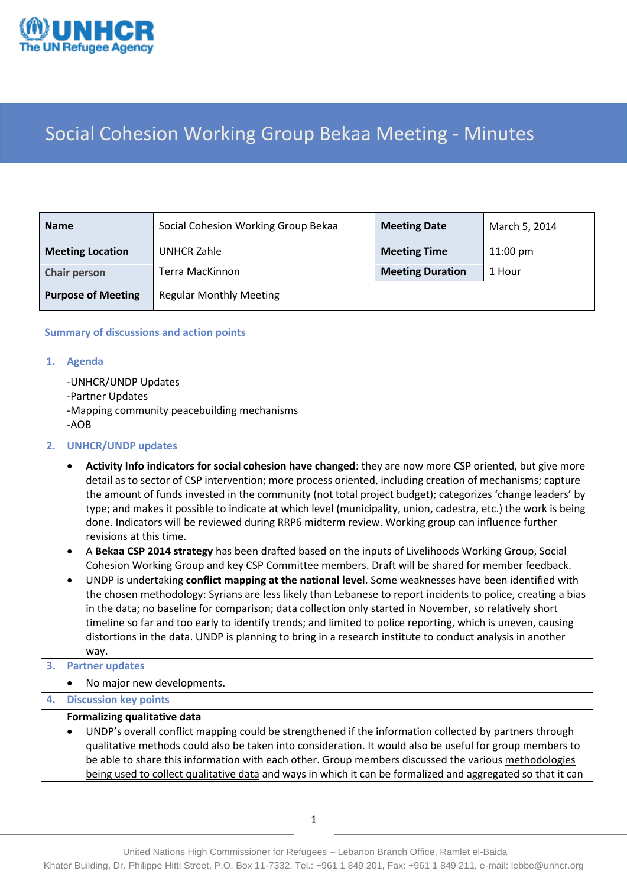

# Social Cohesion Working Group Bekaa Meeting - Minutes

| <b>Name</b>               | Social Cohesion Working Group Bekaa | <b>Meeting Date</b>     | March 5, 2014      |
|---------------------------|-------------------------------------|-------------------------|--------------------|
| <b>Meeting Location</b>   | <b>UNHCR Zahle</b>                  | <b>Meeting Time</b>     | $11:00 \text{ pm}$ |
| <b>Chair person</b>       | Terra MacKinnon                     | <b>Meeting Duration</b> | 1 Hour             |
| <b>Purpose of Meeting</b> | <b>Regular Monthly Meeting</b>      |                         |                    |

### **Summary of discussions and action points**

| 1. | <b>Agenda</b>                                                                                                                                                                                                                                                                                                                                                                                                                                                                                                                                                                                                                                                                                                                                                                                                                                                                                                                                                                                                                                                                                                                                                                                                                                                                                                                                                                           |
|----|-----------------------------------------------------------------------------------------------------------------------------------------------------------------------------------------------------------------------------------------------------------------------------------------------------------------------------------------------------------------------------------------------------------------------------------------------------------------------------------------------------------------------------------------------------------------------------------------------------------------------------------------------------------------------------------------------------------------------------------------------------------------------------------------------------------------------------------------------------------------------------------------------------------------------------------------------------------------------------------------------------------------------------------------------------------------------------------------------------------------------------------------------------------------------------------------------------------------------------------------------------------------------------------------------------------------------------------------------------------------------------------------|
|    | -UNHCR/UNDP Updates<br>-Partner Updates<br>-Mapping community peacebuilding mechanisms<br>-AOB                                                                                                                                                                                                                                                                                                                                                                                                                                                                                                                                                                                                                                                                                                                                                                                                                                                                                                                                                                                                                                                                                                                                                                                                                                                                                          |
| 2. | <b>UNHCR/UNDP updates</b>                                                                                                                                                                                                                                                                                                                                                                                                                                                                                                                                                                                                                                                                                                                                                                                                                                                                                                                                                                                                                                                                                                                                                                                                                                                                                                                                                               |
|    | Activity Info indicators for social cohesion have changed: they are now more CSP oriented, but give more<br>detail as to sector of CSP intervention; more process oriented, including creation of mechanisms; capture<br>the amount of funds invested in the community (not total project budget); categorizes 'change leaders' by<br>type; and makes it possible to indicate at which level (municipality, union, cadestra, etc.) the work is being<br>done. Indicators will be reviewed during RRP6 midterm review. Working group can influence further<br>revisions at this time.<br>A Bekaa CSP 2014 strategy has been drafted based on the inputs of Livelihoods Working Group, Social<br>٠<br>Cohesion Working Group and key CSP Committee members. Draft will be shared for member feedback.<br>UNDP is undertaking conflict mapping at the national level. Some weaknesses have been identified with<br>$\bullet$<br>the chosen methodology: Syrians are less likely than Lebanese to report incidents to police, creating a bias<br>in the data; no baseline for comparison; data collection only started in November, so relatively short<br>timeline so far and too early to identify trends; and limited to police reporting, which is uneven, causing<br>distortions in the data. UNDP is planning to bring in a research institute to conduct analysis in another<br>way. |
| 3. | <b>Partner updates</b>                                                                                                                                                                                                                                                                                                                                                                                                                                                                                                                                                                                                                                                                                                                                                                                                                                                                                                                                                                                                                                                                                                                                                                                                                                                                                                                                                                  |
|    | No major new developments.<br>$\bullet$                                                                                                                                                                                                                                                                                                                                                                                                                                                                                                                                                                                                                                                                                                                                                                                                                                                                                                                                                                                                                                                                                                                                                                                                                                                                                                                                                 |
| 4. | <b>Discussion key points</b>                                                                                                                                                                                                                                                                                                                                                                                                                                                                                                                                                                                                                                                                                                                                                                                                                                                                                                                                                                                                                                                                                                                                                                                                                                                                                                                                                            |
|    | Formalizing qualitative data<br>UNDP's overall conflict mapping could be strengthened if the information collected by partners through<br>qualitative methods could also be taken into consideration. It would also be useful for group members to<br>be able to share this information with each other. Group members discussed the various methodologies<br>being used to collect qualitative data and ways in which it can be formalized and aggregated so that it can                                                                                                                                                                                                                                                                                                                                                                                                                                                                                                                                                                                                                                                                                                                                                                                                                                                                                                               |